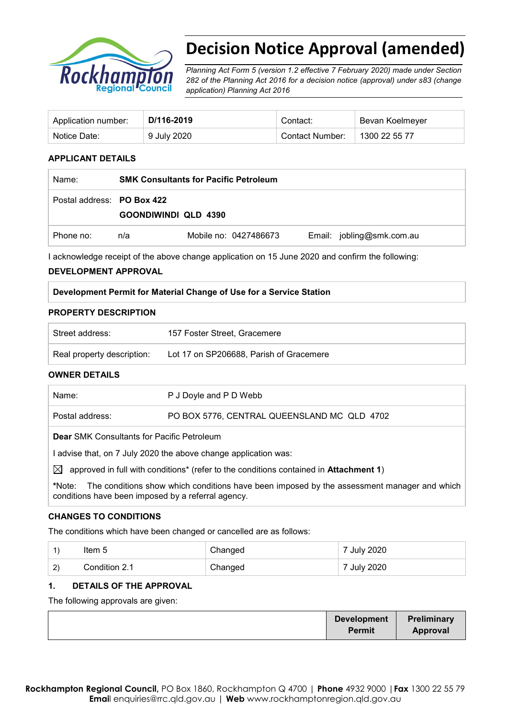

# **Decision Notice Approval (amended)**

*Planning Act Form 5 (version 1.2 effective 7 February 2020) made under Section 282 of the Planning Act 2016 for a decision notice (approval) under s83 (change application) Planning Act 2016* 

| Application number: | D/116-2019  | Contact:        | Bevan Koelmeyer |
|---------------------|-------------|-----------------|-----------------|
| Notice Date:        | 9 July 2020 | Contact Number: | 1300 22 55 77   |

#### **APPLICANT DETAILS**

| Name:                      | <b>SMK Consultants for Pacific Petroleum</b> |                       |                           |
|----------------------------|----------------------------------------------|-----------------------|---------------------------|
| Postal address: PO Box 422 | <b>GOONDIWINDI QLD 4390</b>                  |                       |                           |
| Phone no:                  | n/a                                          | Mobile no: 0427486673 | Email: jobling@smk.com.au |

I acknowledge receipt of the above change application on 15 June 2020 and confirm the following:

#### **DEVELOPMENT APPROVAL**

| Development Permit for Material Change of Use for a Service Station |  |  |
|---------------------------------------------------------------------|--|--|
|                                                                     |  |  |

#### **PROPERTY DESCRIPTION**

| Street address:            | 157 Foster Street. Gracemere            |
|----------------------------|-----------------------------------------|
| Real property description: | Lot 17 on SP206688, Parish of Gracemere |

#### **OWNER DETAILS**

| Name:                                                                                                | P J Doyle and P D Webb                      |  |
|------------------------------------------------------------------------------------------------------|---------------------------------------------|--|
| Postal address:                                                                                      | PO BOX 5776, CENTRAL QUEENSLAND MC QLD 4702 |  |
| <b>Dear</b> SMK Consultants for Pacific Petroleum                                                    |                                             |  |
| advise that, on 7 July 2020 the above change application was:                                        |                                             |  |
| $\boxtimes$<br>approved in full with conditions* (refer to the conditions contained in Attachment 1) |                                             |  |

**\***Note:The conditions show which conditions have been imposed by the assessment manager and which conditions have been imposed by a referral agency.

#### **CHANGES TO CONDITIONS**

The conditions which have been changed or cancelled are as follows:

| -1                    | Item 5        | Changed | 7 July 2020 |
|-----------------------|---------------|---------|-------------|
| $\mathbf{2}^{\prime}$ | Condition 2.1 | Changed | 7 July 2020 |

#### **1. DETAILS OF THE APPROVAL**

The following approvals are given:

|  | <b>Development</b><br><b>Permit</b> | Preliminary<br><b>Approval</b> |
|--|-------------------------------------|--------------------------------|
|--|-------------------------------------|--------------------------------|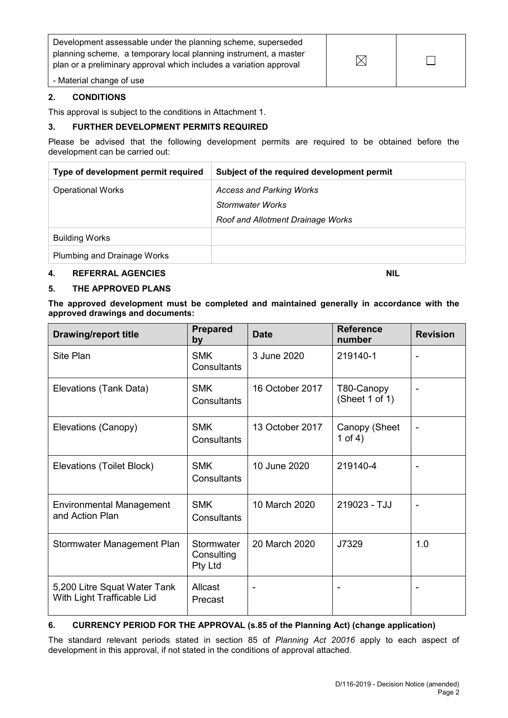| Development assessable under the planning scheme, superseded<br>planning scheme, a temporary local planning instrument, a master<br>plan or a preliminary approval which includes a variation approval |  |
|--------------------------------------------------------------------------------------------------------------------------------------------------------------------------------------------------------|--|
| - Material change of use                                                                                                                                                                               |  |

#### **2. CONDITIONS**

This approval is subject to the conditions in Attachment 1.

#### **3. FURTHER DEVELOPMENT PERMITS REQUIRED**

Please be advised that the following development permits are required to be obtained before the development can be carried out:

| Type of development permit required | Subject of the required development permit |
|-------------------------------------|--------------------------------------------|
| <b>Operational Works</b>            | <b>Access and Parking Works</b>            |
|                                     | Stormwater Works                           |
|                                     | Roof and Allotment Drainage Works          |
| <b>Building Works</b>               |                                            |
| Plumbing and Drainage Works         |                                            |

#### **4. REFERRAL AGENCIES NIL**

#### **5. THE APPROVED PLANS**

**The approved development must be completed and maintained generally in accordance with the approved drawings and documents:**

| <b>Drawing/report title</b>                                | <b>Prepared</b><br>by               | <b>Date</b>     | <b>Reference</b><br>number   | <b>Revision</b> |
|------------------------------------------------------------|-------------------------------------|-----------------|------------------------------|-----------------|
| Site Plan                                                  | <b>SMK</b><br>Consultants           | 3 June 2020     | 219140-1                     |                 |
| Elevations (Tank Data)                                     | <b>SMK</b><br>Consultants           | 16 October 2017 | T80-Canopy<br>(Sheet 1 of 1) |                 |
| Elevations (Canopy)                                        | <b>SMK</b><br>Consultants           | 13 October 2017 | Canopy (Sheet<br>1 of 4)     |                 |
| Elevations (Toilet Block)                                  | <b>SMK</b><br>Consultants           | 10 June 2020    | 219140-4                     |                 |
| Environmental Management<br>and Action Plan                | <b>SMK</b><br>Consultants           | 10 March 2020   | 219023 - TJJ                 |                 |
| Stormwater Management Plan                                 | Stormwater<br>Consulting<br>Pty Ltd | 20 March 2020   | J7329                        | 1.0             |
| 5,200 Litre Squat Water Tank<br>With Light Trafficable Lid | Allcast<br>Precast                  |                 |                              |                 |

## **6. CURRENCY PERIOD FOR THE APPROVAL (s.85 of the Planning Act) (change application)**

The standard relevant periods stated in section 85 of *Planning Act 20016* apply to each aspect of development in this approval, if not stated in the conditions of approval attached.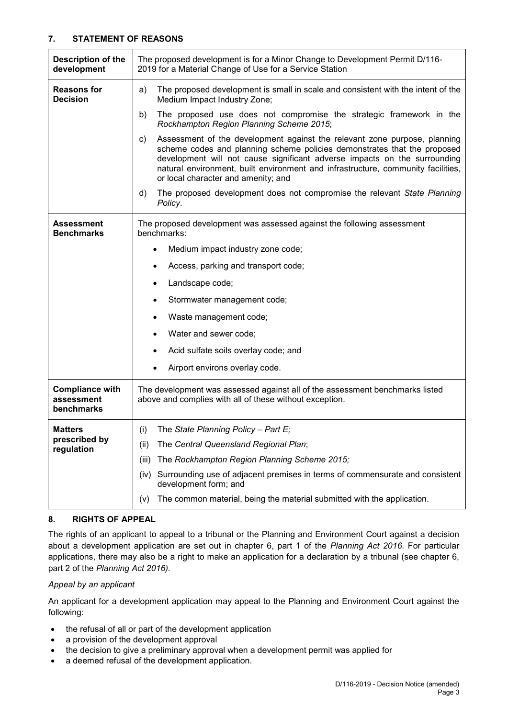#### **7. STATEMENT OF REASONS**

| <b>Description of the</b><br>development           | The proposed development is for a Minor Change to Development Permit D/116-<br>2019 for a Material Change of Use for a Service Station                                                                                                                                                                                                                              |  |  |
|----------------------------------------------------|---------------------------------------------------------------------------------------------------------------------------------------------------------------------------------------------------------------------------------------------------------------------------------------------------------------------------------------------------------------------|--|--|
| <b>Reasons for</b><br><b>Decision</b>              | The proposed development is small in scale and consistent with the intent of the<br>a)<br>Medium Impact Industry Zone;                                                                                                                                                                                                                                              |  |  |
|                                                    | b)<br>The proposed use does not compromise the strategic framework in the<br>Rockhampton Region Planning Scheme 2015;                                                                                                                                                                                                                                               |  |  |
|                                                    | Assessment of the development against the relevant zone purpose, planning<br>C)<br>scheme codes and planning scheme policies demonstrates that the proposed<br>development will not cause significant adverse impacts on the surrounding<br>natural environment, built environment and infrastructure, community facilities,<br>or local character and amenity; and |  |  |
|                                                    | The proposed development does not compromise the relevant State Planning<br>d)<br>Policy.                                                                                                                                                                                                                                                                           |  |  |
| <b>Assessment</b><br><b>Benchmarks</b>             | The proposed development was assessed against the following assessment<br>benchmarks:                                                                                                                                                                                                                                                                               |  |  |
|                                                    | Medium impact industry zone code;                                                                                                                                                                                                                                                                                                                                   |  |  |
|                                                    | Access, parking and transport code;<br>٠                                                                                                                                                                                                                                                                                                                            |  |  |
|                                                    | Landscape code;<br>٠                                                                                                                                                                                                                                                                                                                                                |  |  |
|                                                    | Stormwater management code;                                                                                                                                                                                                                                                                                                                                         |  |  |
|                                                    | Waste management code;                                                                                                                                                                                                                                                                                                                                              |  |  |
|                                                    | Water and sewer code;                                                                                                                                                                                                                                                                                                                                               |  |  |
|                                                    | Acid sulfate soils overlay code; and                                                                                                                                                                                                                                                                                                                                |  |  |
|                                                    | Airport environs overlay code.                                                                                                                                                                                                                                                                                                                                      |  |  |
| <b>Compliance with</b><br>assessment<br>benchmarks | The development was assessed against all of the assessment benchmarks listed<br>above and complies with all of these without exception.                                                                                                                                                                                                                             |  |  |
| <b>Matters</b>                                     | (i) The State Planning Policy - Part E;                                                                                                                                                                                                                                                                                                                             |  |  |
| prescribed by<br>regulation                        | The Central Queensland Regional Plan;<br>(ii)                                                                                                                                                                                                                                                                                                                       |  |  |
|                                                    | The Rockhampton Region Planning Scheme 2015;<br>(iii)                                                                                                                                                                                                                                                                                                               |  |  |
|                                                    | Surrounding use of adjacent premises in terms of commensurate and consistent<br>(iv)<br>development form; and                                                                                                                                                                                                                                                       |  |  |
|                                                    | The common material, being the material submitted with the application.<br>(V)                                                                                                                                                                                                                                                                                      |  |  |

#### **8. RIGHTS OF APPEAL**

The rights of an applicant to appeal to a tribunal or the Planning and Environment Court against a decision about a development application are set out in chapter 6, part 1 of the *Planning Act 2016*. For particular applications, there may also be a right to make an application for a declaration by a tribunal (see chapter 6, part 2 of the *Planning Act 2016).*

#### *Appeal by an applicant*

An applicant for a development application may appeal to the Planning and Environment Court against the following:

- the refusal of all or part of the development application
- a provision of the development approval
- the decision to give a preliminary approval when a development permit was applied for
- a deemed refusal of the development application.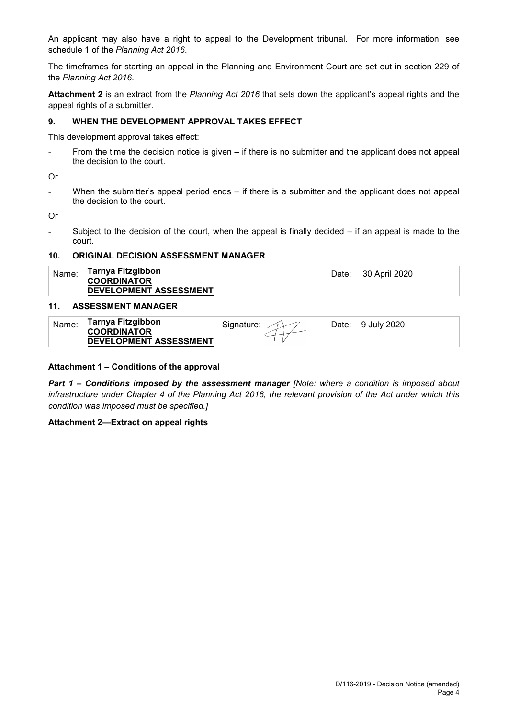An applicant may also have a right to appeal to the Development tribunal. For more information, see schedule 1 of the *Planning Act 2016*.

The timeframes for starting an appeal in the Planning and Environment Court are set out in section 229 of the *Planning Act 2016*.

**Attachment 2** is an extract from the *Planning Act 2016* that sets down the applicant's appeal rights and the appeal rights of a submitter.

#### **9. WHEN THE DEVELOPMENT APPROVAL TAKES EFFECT**

This development approval takes effect:

From the time the decision notice is given – if there is no submitter and the applicant does not appeal the decision to the court.

Or

When the submitter's appeal period ends  $-$  if there is a submitter and the applicant does not appeal the decision to the court.

Or

- Subject to the decision of the court, when the appeal is finally decided – if an appeal is made to the court.

#### **10. ORIGINAL DECISION ASSESSMENT MANAGER**

| Name:           | Tarnya Fitzgibbon<br><b>COORDINATOR</b><br><b>DEVELOPMENT ASSESSMENT</b> | Date: 30 April 2020 |
|-----------------|--------------------------------------------------------------------------|---------------------|
| 11 <sub>1</sub> | <b>ASSESSMENT MANAGER</b>                                                |                     |

| Tarnya Fitzgibbon<br><b>COORDINATOR</b> | Signature: | Date: | 9 July 2020 |
|-----------------------------------------|------------|-------|-------------|
| <b>DEVELOPMENT ASSESSMENT</b>           |            |       |             |

#### **Attachment 1 – Conditions of the approval**

*Part 1* **–** *Conditions imposed by the assessment manager [Note: where a condition is imposed about infrastructure under Chapter 4 of the Planning Act 2016, the relevant provision of the Act under which this condition was imposed must be specified.]*

#### **Attachment 2—Extract on appeal rights**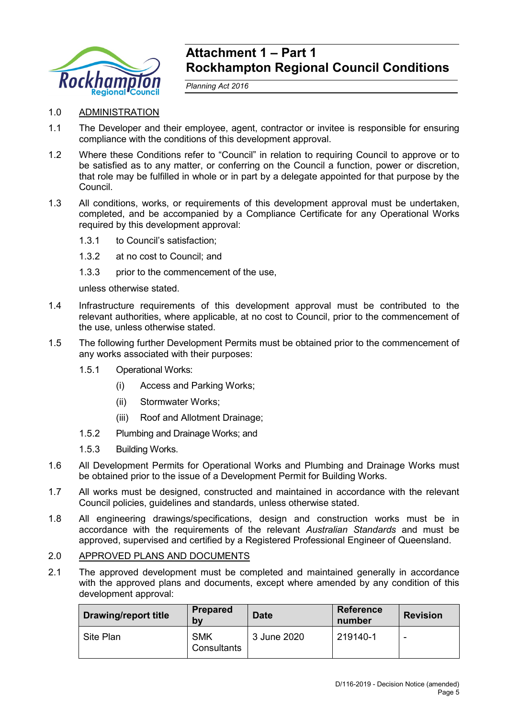

## **Attachment 1 – Part 1 Rockhampton Regional Council Conditions**

*Planning Act 2016*

## 1.0 ADMINISTRATION

- 1.1 The Developer and their employee, agent, contractor or invitee is responsible for ensuring compliance with the conditions of this development approval.
- 1.2 Where these Conditions refer to "Council" in relation to requiring Council to approve or to be satisfied as to any matter, or conferring on the Council a function, power or discretion, that role may be fulfilled in whole or in part by a delegate appointed for that purpose by the Council.
- 1.3 All conditions, works, or requirements of this development approval must be undertaken, completed, and be accompanied by a Compliance Certificate for any Operational Works required by this development approval:
	- 1.3.1 to Council's satisfaction;
	- 1.3.2 at no cost to Council; and
	- 1.3.3 prior to the commencement of the use,

unless otherwise stated.

- 1.4 Infrastructure requirements of this development approval must be contributed to the relevant authorities, where applicable, at no cost to Council, prior to the commencement of the use, unless otherwise stated.
- 1.5 The following further Development Permits must be obtained prior to the commencement of any works associated with their purposes:
	- 1.5.1 Operational Works:
		- (i) Access and Parking Works;
		- (ii) Stormwater Works;
		- (iii) Roof and Allotment Drainage;
	- 1.5.2 Plumbing and Drainage Works; and
	- 1.5.3 Building Works.
- 1.6 All Development Permits for Operational Works and Plumbing and Drainage Works must be obtained prior to the issue of a Development Permit for Building Works.
- 1.7 All works must be designed, constructed and maintained in accordance with the relevant Council policies, guidelines and standards, unless otherwise stated.
- 1.8 All engineering drawings/specifications, design and construction works must be in accordance with the requirements of the relevant *Australian Standards* and must be approved, supervised and certified by a Registered Professional Engineer of Queensland.

## 2.0 APPROVED PLANS AND DOCUMENTS

2.1 The approved development must be completed and maintained generally in accordance with the approved plans and documents, except where amended by any condition of this development approval:

| <b>Drawing/report title</b> | <b>Prepared</b><br>b٧     | <b>Date</b> | <b>Reference</b><br>number | <b>Revision</b>          |
|-----------------------------|---------------------------|-------------|----------------------------|--------------------------|
| Site Plan                   | <b>SMK</b><br>Consultants | 3 June 2020 | 219140-1                   | $\overline{\phantom{a}}$ |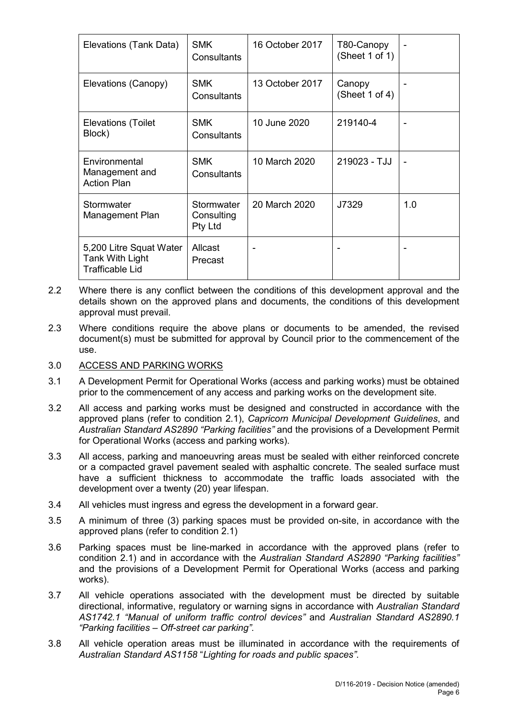| Elevations (Tank Data)                                               | SMK<br>Consultants                  | 16 October 2017 | T80-Canopy<br>(Sheet 1 of 1) |     |
|----------------------------------------------------------------------|-------------------------------------|-----------------|------------------------------|-----|
| Elevations (Canopy)                                                  | <b>SMK</b><br>Consultants           | 13 October 2017 | Canopy<br>(Sheet 1 of 4)     |     |
| Elevations (Toilet<br>Block)                                         | <b>SMK</b><br>Consultants           | 10 June 2020    | 219140-4                     |     |
| Environmental<br>Management and<br><b>Action Plan</b>                | <b>SMK</b><br>Consultants           | 10 March 2020   | 219023 - TJJ                 |     |
| Stormwater<br>Management Plan                                        | Stormwater<br>Consulting<br>Pty Ltd | 20 March 2020   | J7329                        | 1.0 |
| 5,200 Litre Squat Water<br>Tank With Light<br><b>Trafficable Lid</b> | Allcast<br>Precast                  |                 |                              |     |

- 2.2 Where there is any conflict between the conditions of this development approval and the details shown on the approved plans and documents, the conditions of this development approval must prevail.
- 2.3 Where conditions require the above plans or documents to be amended, the revised document(s) must be submitted for approval by Council prior to the commencement of the use.

## 3.0 ACCESS AND PARKING WORKS

- 3.1 A Development Permit for Operational Works (access and parking works) must be obtained prior to the commencement of any access and parking works on the development site.
- 3.2 All access and parking works must be designed and constructed in accordance with the approved plans (refer to condition 2.1), *Capricorn Municipal Development Guidelines*, and *Australian Standard AS2890 "Parking facilities"* and the provisions of a Development Permit for Operational Works (access and parking works).
- 3.3 All access, parking and manoeuvring areas must be sealed with either reinforced concrete or a compacted gravel pavement sealed with asphaltic concrete. The sealed surface must have a sufficient thickness to accommodate the traffic loads associated with the development over a twenty (20) year lifespan.
- 3.4 All vehicles must ingress and egress the development in a forward gear.
- 3.5 A minimum of three (3) parking spaces must be provided on-site, in accordance with the approved plans (refer to condition 2.1)
- 3.6 Parking spaces must be line-marked in accordance with the approved plans (refer to condition 2.1) and in accordance with the *Australian Standard AS2890 "Parking facilities"* and the provisions of a Development Permit for Operational Works (access and parking works).
- 3.7 All vehicle operations associated with the development must be directed by suitable directional, informative, regulatory or warning signs in accordance with *Australian Standard AS1742.1 "Manual of uniform traffic control devices"* and *Australian Standard AS2890.1 "Parking facilities – Off-street car parking"*.
- 3.8 All vehicle operation areas must be illuminated in accordance with the requirements of *Australian Standard AS1158* "*Lighting for roads and public spaces"*.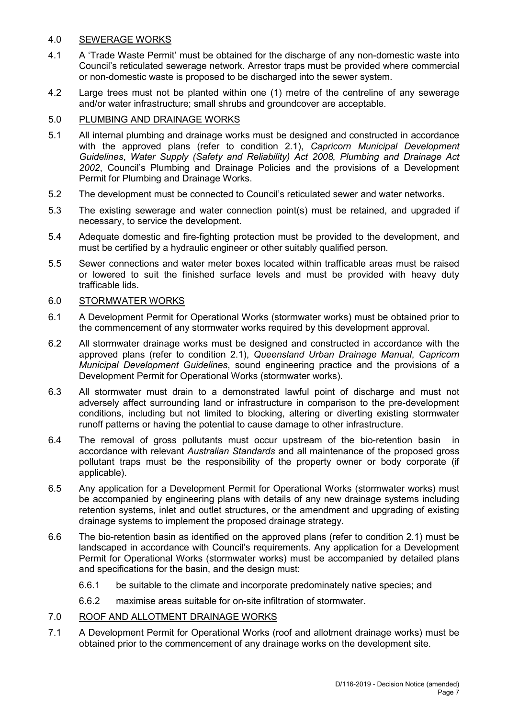## 4.0 SEWERAGE WORKS

- 4.1 A 'Trade Waste Permit' must be obtained for the discharge of any non-domestic waste into Council's reticulated sewerage network. Arrestor traps must be provided where commercial or non-domestic waste is proposed to be discharged into the sewer system.
- 4.2 Large trees must not be planted within one (1) metre of the centreline of any sewerage and/or water infrastructure; small shrubs and groundcover are acceptable.

## 5.0 PLUMBING AND DRAINAGE WORKS

- 5.1 All internal plumbing and drainage works must be designed and constructed in accordance with the approved plans (refer to condition 2.1), *Capricorn Municipal Development Guidelines*, *Water Supply (Safety and Reliability) Act 2008, Plumbing and Drainage Act 2002*, Council's Plumbing and Drainage Policies and the provisions of a Development Permit for Plumbing and Drainage Works.
- 5.2 The development must be connected to Council's reticulated sewer and water networks.
- 5.3 The existing sewerage and water connection point(s) must be retained, and upgraded if necessary, to service the development.
- 5.4 Adequate domestic and fire-fighting protection must be provided to the development, and must be certified by a hydraulic engineer or other suitably qualified person.
- 5.5 Sewer connections and water meter boxes located within trafficable areas must be raised or lowered to suit the finished surface levels and must be provided with heavy duty trafficable lids.

#### 6.0 STORMWATER WORKS

- 6.1 A Development Permit for Operational Works (stormwater works) must be obtained prior to the commencement of any stormwater works required by this development approval.
- 6.2 All stormwater drainage works must be designed and constructed in accordance with the approved plans (refer to condition 2.1), *Queensland Urban Drainage Manual*, *Capricorn Municipal Development Guidelines*, sound engineering practice and the provisions of a Development Permit for Operational Works (stormwater works).
- 6.3 All stormwater must drain to a demonstrated lawful point of discharge and must not adversely affect surrounding land or infrastructure in comparison to the pre-development conditions, including but not limited to blocking, altering or diverting existing stormwater runoff patterns or having the potential to cause damage to other infrastructure.
- 6.4 The removal of gross pollutants must occur upstream of the bio-retention basin in accordance with relevant *Australian Standards* and all maintenance of the proposed gross pollutant traps must be the responsibility of the property owner or body corporate (if applicable).
- 6.5 Any application for a Development Permit for Operational Works (stormwater works) must be accompanied by engineering plans with details of any new drainage systems including retention systems, inlet and outlet structures, or the amendment and upgrading of existing drainage systems to implement the proposed drainage strategy.
- 6.6 The bio-retention basin as identified on the approved plans (refer to condition 2.1) must be landscaped in accordance with Council's requirements. Any application for a Development Permit for Operational Works (stormwater works) must be accompanied by detailed plans and specifications for the basin, and the design must:
	- 6.6.1 be suitable to the climate and incorporate predominately native species; and
	- 6.6.2 maximise areas suitable for on-site infiltration of stormwater.

## 7.0 ROOF AND ALLOTMENT DRAINAGE WORKS

7.1 A Development Permit for Operational Works (roof and allotment drainage works) must be obtained prior to the commencement of any drainage works on the development site.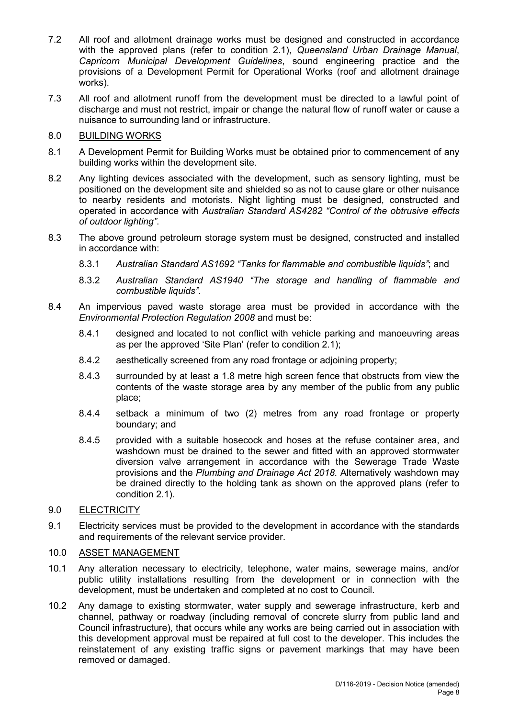- 7.2 All roof and allotment drainage works must be designed and constructed in accordance with the approved plans (refer to condition 2.1), *Queensland Urban Drainage Manual*, *Capricorn Municipal Development Guidelines*, sound engineering practice and the provisions of a Development Permit for Operational Works (roof and allotment drainage works).
- 7.3 All roof and allotment runoff from the development must be directed to a lawful point of discharge and must not restrict, impair or change the natural flow of runoff water or cause a nuisance to surrounding land or infrastructure.

## 8.0 BUILDING WORKS

- 8.1 A Development Permit for Building Works must be obtained prior to commencement of any building works within the development site.
- 8.2 Any lighting devices associated with the development, such as sensory lighting, must be positioned on the development site and shielded so as not to cause glare or other nuisance to nearby residents and motorists. Night lighting must be designed, constructed and operated in accordance with *Australian Standard AS4282 "Control of the obtrusive effects of outdoor lighting"*.
- 8.3 The above ground petroleum storage system must be designed, constructed and installed in accordance with:
	- 8.3.1 *Australian Standard AS1692 "Tanks for flammable and combustible liquids"*; and
	- 8.3.2 *Australian Standard AS1940 "The storage and handling of flammable and combustible liquids"*.
- 8.4 An impervious paved waste storage area must be provided in accordance with the *Environmental Protection Regulation 2008* and must be:
	- 8.4.1 designed and located to not conflict with vehicle parking and manoeuvring areas as per the approved 'Site Plan' (refer to condition 2.1);
	- 8.4.2 aesthetically screened from any road frontage or adjoining property;
	- 8.4.3 surrounded by at least a 1.8 metre high screen fence that obstructs from view the contents of the waste storage area by any member of the public from any public place;
	- 8.4.4 setback a minimum of two (2) metres from any road frontage or property boundary; and
	- 8.4.5 provided with a suitable hosecock and hoses at the refuse container area, and washdown must be drained to the sewer and fitted with an approved stormwater diversion valve arrangement in accordance with the Sewerage Trade Waste provisions and the *Plumbing and Drainage Act 2018.* Alternatively washdown may be drained directly to the holding tank as shown on the approved plans (refer to condition 2.1).
- 9.0 ELECTRICITY
- 9.1 Electricity services must be provided to the development in accordance with the standards and requirements of the relevant service provider.

## 10.0 ASSET MANAGEMENT

- 10.1 Any alteration necessary to electricity, telephone, water mains, sewerage mains, and/or public utility installations resulting from the development or in connection with the development, must be undertaken and completed at no cost to Council.
- 10.2 Any damage to existing stormwater, water supply and sewerage infrastructure, kerb and channel, pathway or roadway (including removal of concrete slurry from public land and Council infrastructure), that occurs while any works are being carried out in association with this development approval must be repaired at full cost to the developer. This includes the reinstatement of any existing traffic signs or pavement markings that may have been removed or damaged.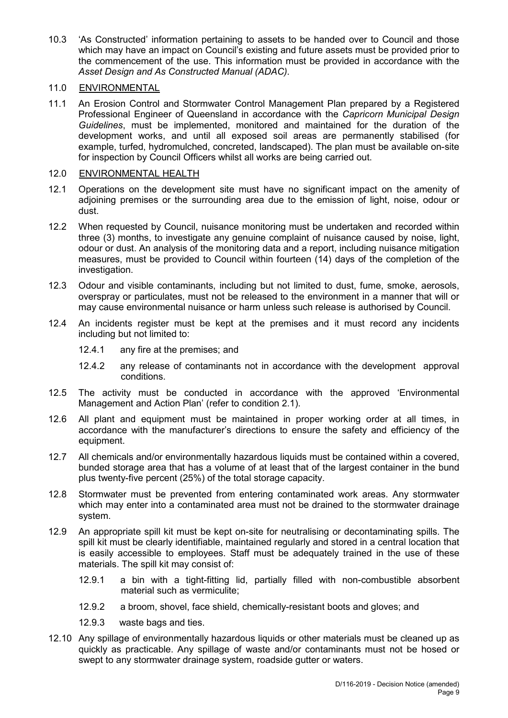10.3 'As Constructed' information pertaining to assets to be handed over to Council and those which may have an impact on Council's existing and future assets must be provided prior to the commencement of the use. This information must be provided in accordance with the *Asset Design and As Constructed Manual (ADAC).*

## 11.0 ENVIRONMENTAL

11.1 An Erosion Control and Stormwater Control Management Plan prepared by a Registered Professional Engineer of Queensland in accordance with the *Capricorn Municipal Design Guidelines*, must be implemented, monitored and maintained for the duration of the development works, and until all exposed soil areas are permanently stabilised (for example, turfed, hydromulched, concreted, landscaped). The plan must be available on-site for inspection by Council Officers whilst all works are being carried out.

## 12.0 ENVIRONMENTAL HEALTH

- 12.1 Operations on the development site must have no significant impact on the amenity of adjoining premises or the surrounding area due to the emission of light, noise, odour or dust.
- 12.2 When requested by Council, nuisance monitoring must be undertaken and recorded within three (3) months, to investigate any genuine complaint of nuisance caused by noise, light, odour or dust. An analysis of the monitoring data and a report, including nuisance mitigation measures, must be provided to Council within fourteen (14) days of the completion of the investigation.
- 12.3 Odour and visible contaminants, including but not limited to dust, fume, smoke, aerosols, overspray or particulates, must not be released to the environment in a manner that will or may cause environmental nuisance or harm unless such release is authorised by Council.
- 12.4 An incidents register must be kept at the premises and it must record any incidents including but not limited to:
	- 12.4.1 any fire at the premises; and
	- 12.4.2 any release of contaminants not in accordance with the development approval conditions.
- 12.5 The activity must be conducted in accordance with the approved 'Environmental Management and Action Plan' (refer to condition 2.1).
- 12.6 All plant and equipment must be maintained in proper working order at all times, in accordance with the manufacturer's directions to ensure the safety and efficiency of the equipment.
- 12.7 All chemicals and/or environmentally hazardous liquids must be contained within a covered, bunded storage area that has a volume of at least that of the largest container in the bund plus twenty-five percent (25%) of the total storage capacity.
- 12.8 Stormwater must be prevented from entering contaminated work areas. Any stormwater which may enter into a contaminated area must not be drained to the stormwater drainage system.
- 12.9 An appropriate spill kit must be kept on-site for neutralising or decontaminating spills. The spill kit must be clearly identifiable, maintained regularly and stored in a central location that is easily accessible to employees. Staff must be adequately trained in the use of these materials. The spill kit may consist of:
	- 12.9.1 a bin with a tight-fitting lid, partially filled with non-combustible absorbent material such as vermiculite;
	- 12.9.2 a broom, shovel, face shield, chemically-resistant boots and gloves; and
	- 12.9.3 waste bags and ties.
- 12.10 Any spillage of environmentally hazardous liquids or other materials must be cleaned up as quickly as practicable. Any spillage of waste and/or contaminants must not be hosed or swept to any stormwater drainage system, roadside gutter or waters.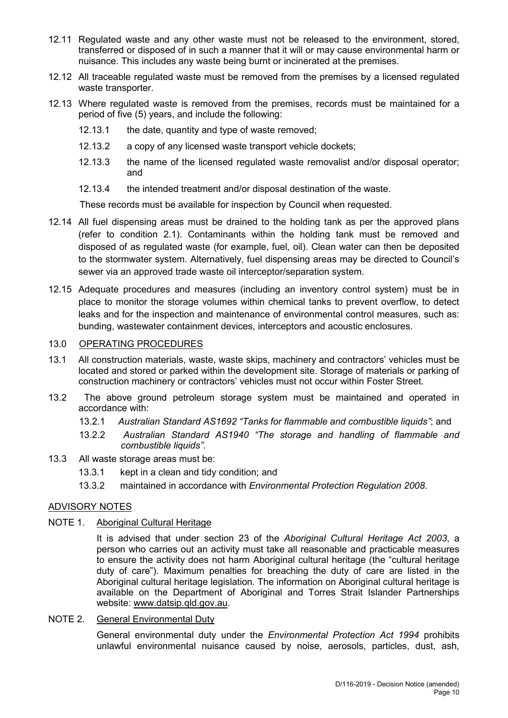- 12.11 Regulated waste and any other waste must not be released to the environment, stored, transferred or disposed of in such a manner that it will or may cause environmental harm or nuisance. This includes any waste being burnt or incinerated at the premises.
- 12.12 All traceable regulated waste must be removed from the premises by a licensed regulated waste transporter.
- 12.13 Where regulated waste is removed from the premises, records must be maintained for a period of five (5) years, and include the following:
	- 12.13.1 the date, quantity and type of waste removed;
	- 12.13.2 a copy of any licensed waste transport vehicle dockets;
	- 12.13.3 the name of the licensed regulated waste removalist and/or disposal operator; and
	- 12.13.4 the intended treatment and/or disposal destination of the waste.

These records must be available for inspection by Council when requested.

- 12.14 All fuel dispensing areas must be drained to the holding tank as per the approved plans (refer to condition 2.1). Contaminants within the holding tank must be removed and disposed of as regulated waste (for example, fuel, oil). Clean water can then be deposited to the stormwater system. Alternatively, fuel dispensing areas may be directed to Council's sewer via an approved trade waste oil interceptor/separation system.
- 12.15 Adequate procedures and measures (including an inventory control system) must be in place to monitor the storage volumes within chemical tanks to prevent overflow, to detect leaks and for the inspection and maintenance of environmental control measures, such as: bunding, wastewater containment devices, interceptors and acoustic enclosures.

## 13.0 OPERATING PROCEDURES

- 13.1 All construction materials, waste, waste skips, machinery and contractors' vehicles must be located and stored or parked within the development site. Storage of materials or parking of construction machinery or contractors' vehicles must not occur within Foster Street.
- 13.2 The above ground petroleum storage system must be maintained and operated in accordance with:
	- 13.2.1 *Australian Standard AS1692 "Tanks for flammable and combustible liquids"*; and
	- 13.2.2 *Australian Standard AS1940 "The storage and handling of flammable and combustible liquids"*.
- 13.3 All waste storage areas must be:
	- 13.3.1 kept in a clean and tidy condition; and
	- 13.3.2 maintained in accordance with *Environmental Protection Regulation 2008*.

#### ADVISORY NOTES

NOTE 1. Aboriginal Cultural Heritage

It is advised that under section 23 of the *Aboriginal Cultural Heritage Act 2003*, a person who carries out an activity must take all reasonable and practicable measures to ensure the activity does not harm Aboriginal cultural heritage (the "cultural heritage duty of care"). Maximum penalties for breaching the duty of care are listed in the Aboriginal cultural heritage legislation. The information on Aboriginal cultural heritage is available on the Department of Aboriginal and Torres Strait Islander Partnerships website: [www.datsip.qld.gov.au.](http://www.datsip.qld.gov.au/)

NOTE 2. General Environmental Duty

General environmental duty under the *Environmental Protection Act 1994* prohibits unlawful environmental nuisance caused by noise, aerosols, particles, dust, ash,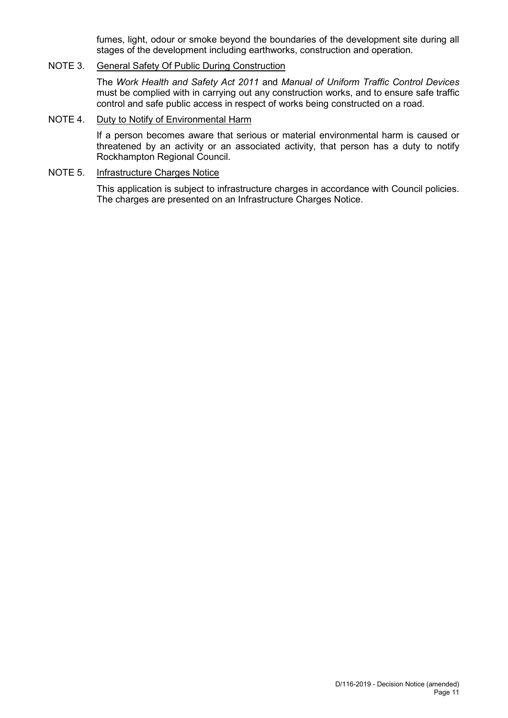fumes, light, odour or smoke beyond the boundaries of the development site during all stages of the development including earthworks, construction and operation.

#### NOTE 3. General Safety Of Public During Construction

The *Work Health and Safety Act 2011* and *Manual of Uniform Traffic Control Devices* must be complied with in carrying out any construction works, and to ensure safe traffic control and safe public access in respect of works being constructed on a road.

## NOTE 4. Duty to Notify of Environmental Harm

If a person becomes aware that serious or material environmental harm is caused or threatened by an activity or an associated activity, that person has a duty to notify Rockhampton Regional Council.

#### NOTE 5. Infrastructure Charges Notice

This application is subject to infrastructure charges in accordance with Council policies. The charges are presented on an Infrastructure Charges Notice.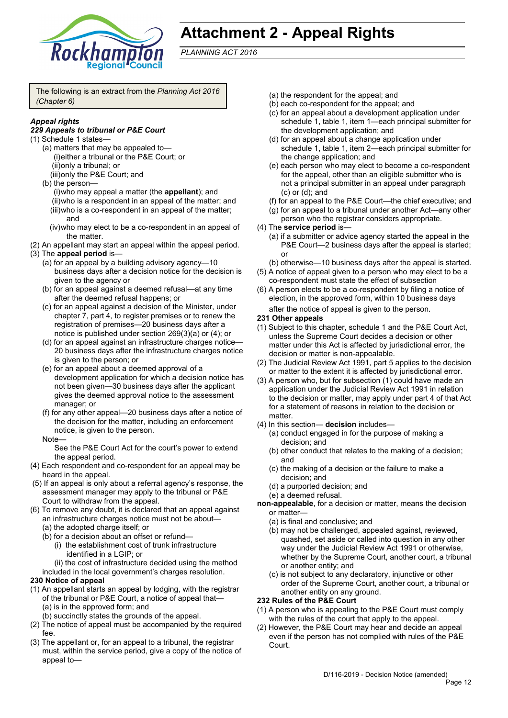

# **Attachment 2 - Appeal Rights**

*PLANNING ACT 2016*

The following is an extract from the *Planning Act 2016 (Chapter 6)*

## *Appeal rights*

#### *229 Appeals to tribunal or P&E Court*

- (1) Schedule 1 states—
	- (a) matters that may be appealed to— (i)either a tribunal or the P&E Court; or (ii)only a tribunal; or
		- (iii)only the P&E Court; and
	- (b) the person— (i)who may appeal a matter (the **appellant**); and (ii)who is a respondent in an appeal of the matter; and (iii)who is a co-respondent in an appeal of the matter; and
		- (iv)who may elect to be a co-respondent in an appeal of the matter.
- (2) An appellant may start an appeal within the appeal period.
- (3) The **appeal period** is—
	- (a) for an appeal by a building advisory agency—10 business days after a decision notice for the decision is given to the agency or
	- (b) for an appeal against a deemed refusal—at any time after the deemed refusal happens; or
	- (c) for an appeal against a decision of the Minister, under chapter 7, part 4, to register premises or to renew the registration of premises—20 business days after a notice is published under section 269(3)(a) or (4); or
	- (d) for an appeal against an infrastructure charges notice— 20 business days after the infrastructure charges notice is given to the person; or
	- (e) for an appeal about a deemed approval of a development application for which a decision notice has not been given—30 business days after the applicant gives the deemed approval notice to the assessment manager; or
	- (f) for any other appeal—20 business days after a notice of the decision for the matter, including an enforcement notice, is given to the person.
	- **Note**

See the P&E Court Act for the court's power to extend the appeal period.

- (4) Each respondent and co-respondent for an appeal may be heard in the appeal.
- (5) If an appeal is only about a referral agency's response, the assessment manager may apply to the tribunal or P&E Court to withdraw from the appeal.
- (6) To remove any doubt, it is declared that an appeal against an infrastructure charges notice must not be about—
	- (a) the adopted charge itself; or
	- (b) for a decision about an offset or refund—
		- (i) the establishment cost of trunk infrastructure identified in a LGIP; or
	- (ii) the cost of infrastructure decided using the method included in the local government's charges resolution.

#### **230 Notice of appeal**

- (1) An appellant starts an appeal by lodging, with the registrar of the tribunal or P&E Court, a notice of appeal that— (a) is in the approved form; and
	- (b) succinctly states the grounds of the appeal.
- (2) The notice of appeal must be accompanied by the required fee.
- (3) The appellant or, for an appeal to a tribunal, the registrar must, within the service period, give a copy of the notice of appeal to—
- (a) the respondent for the appeal; and
- (b) each co-respondent for the appeal; and
- (c) for an appeal about a development application under schedule 1, table 1, item 1—each principal submitter for the development application; and
- (d) for an appeal about a change application under schedule 1, table 1, item 2—each principal submitter for the change application; and
- (e) each person who may elect to become a co-respondent for the appeal, other than an eligible submitter who is not a principal submitter in an appeal under paragraph (c) or (d); and
- (f) for an appeal to the P&E Court—the chief executive; and
- (g) for an appeal to a tribunal under another Act—any other person who the registrar considers appropriate.
- (4) The **service period** is—
	- (a) if a submitter or advice agency started the appeal in the P&E Court—2 business days after the appeal is started; or
	- (b) otherwise—10 business days after the appeal is started.
- (5) A notice of appeal given to a person who may elect to be a co-respondent must state the effect of subsection
- (6) A person elects to be a co-respondent by filing a notice of election, in the approved form, within 10 business days after the notice of appeal is given to the person*.*
- **231 Other appeals**
- (1) Subject to this chapter, schedule 1 and the P&E Court Act, unless the Supreme Court decides a decision or other matter under this Act is affected by jurisdictional error, the decision or matter is non-appealable.
- (2) The Judicial Review Act 1991, part 5 applies to the decision or matter to the extent it is affected by jurisdictional error.
- (3) A person who, but for subsection (1) could have made an application under the Judicial Review Act 1991 in relation to the decision or matter, may apply under part 4 of that Act for a statement of reasons in relation to the decision or matter.
- (4) In this section— **decision** includes—
	- (a) conduct engaged in for the purpose of making a decision; and
	- (b) other conduct that relates to the making of a decision; and
	- (c) the making of a decision or the failure to make a decision; and
	- (d) a purported decision; and
	- (e) a deemed refusal.
- **non-appealable**, for a decision or matter, means the decision or matter—
	- (a) is final and conclusive; and
	- (b) may not be challenged, appealed against, reviewed, quashed, set aside or called into question in any other way under the Judicial Review Act 1991 or otherwise, whether by the Supreme Court, another court, a tribunal or another entity; and
	- (c) is not subject to any declaratory, injunctive or other order of the Supreme Court, another court, a tribunal or another entity on any ground.

#### **232 Rules of the P&E Court**

- (1) A person who is appealing to the P&E Court must comply with the rules of the court that apply to the appeal.
- (2) However, the P&E Court may hear and decide an appeal even if the person has not complied with rules of the P&E Court.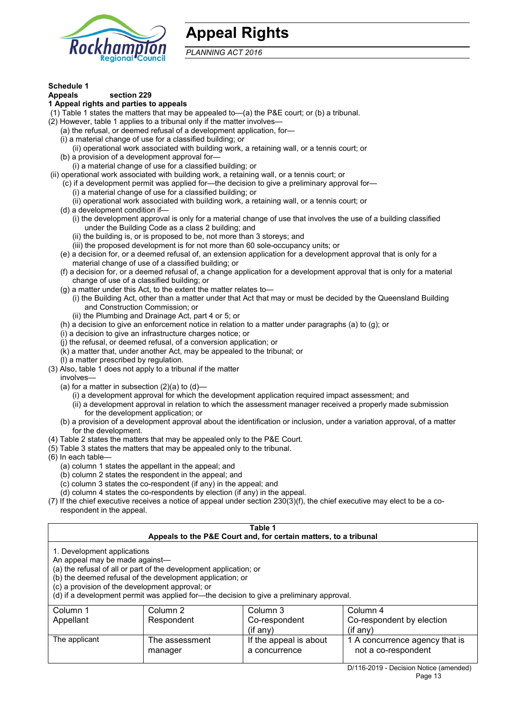

## **Appeal Rights**

*PLANNING ACT 2016*

## **Schedule 1**

#### **Appeals section 229**

#### **1 Appeal rights and parties to appeals**

(1) Table 1 states the matters that may be appealed to—(a) the P&E court; or (b) a tribunal.

- (2) However, table 1 applies to a tribunal only if the matter involves—
	- (a) the refusal, or deemed refusal of a development application, for—
	- (i) a material change of use for a classified building; or
	- (ii) operational work associated with building work, a retaining wall, or a tennis court; or
	- (b) a provision of a development approval for—
- (i) a material change of use for a classified building; or
- (ii) operational work associated with building work, a retaining wall, or a tennis court; or
	- (c) if a development permit was applied for—the decision to give a preliminary approval for— (i) a material change of use for a classified building; or
		- (ii) operational work associated with building work, a retaining wall, or a tennis court; or
	- (d) a development condition if—
		- (i) the development approval is only for a material change of use that involves the use of a building classified under the Building Code as a class 2 building; and
			- (ii) the building is, or is proposed to be, not more than 3 storeys; and
			- (iii) the proposed development is for not more than 60 sole-occupancy units; or
	- (e) a decision for, or a deemed refusal of, an extension application for a development approval that is only for a material change of use of a classified building; or
	- (f) a decision for, or a deemed refusal of, a change application for a development approval that is only for a material change of use of a classified building; or
	- (g) a matter under this Act, to the extent the matter relates to—
		- (i) the Building Act, other than a matter under that Act that may or must be decided by the Queensland Building and Construction Commission; or
		- (ii) the Plumbing and Drainage Act, part 4 or 5; or
	- (h) a decision to give an enforcement notice in relation to a matter under paragraphs (a) to (g); or
	- (i) a decision to give an infrastructure charges notice; or
	- (j) the refusal, or deemed refusal, of a conversion application; or
	- (k) a matter that, under another Act, may be appealed to the tribunal; or
- (l) a matter prescribed by regulation. (3) Also, table 1 does not apply to a tribunal if the matter
	- involves—
	- (a) for a matter in subsection  $(2)(a)$  to  $(d)$ 
		- (i) a development approval for which the development application required impact assessment; and
		- (ii) a development approval in relation to which the assessment manager received a properly made submission for the development application; or
	- (b) a provision of a development approval about the identification or inclusion, under a variation approval, of a matter for the development.
- (4) Table 2 states the matters that may be appealed only to the P&E Court.
- (5) Table 3 states the matters that may be appealed only to the tribunal.
- (6) In each table—
	- (a) column 1 states the appellant in the appeal; and
	- (b) column 2 states the respondent in the appeal; and
	- $(c)$  column 3 states the co-respondent (if any) in the appeal; and
	- (d) column 4 states the co-respondents by election (if any) in the appeal.
- (7) If the chief executive receives a notice of appeal under section 230(3)(f), the chief executive may elect to be a corespondent in the appeal.

| Appeals to the P&E Court and, for certain matters, to a tribunal<br>1. Development applications<br>An appeal may be made against-<br>(a) the refusal of all or part of the development application; or<br>(b) the deemed refusal of the development application; or<br>(c) a provision of the development approval; or<br>(d) if a development permit was applied for—the decision to give a preliminary approval.<br>Column 1<br>Column 2<br>Column 3<br>Column 4 | Table 1 |  |  |  |  |  |  |
|--------------------------------------------------------------------------------------------------------------------------------------------------------------------------------------------------------------------------------------------------------------------------------------------------------------------------------------------------------------------------------------------------------------------------------------------------------------------|---------|--|--|--|--|--|--|
|                                                                                                                                                                                                                                                                                                                                                                                                                                                                    |         |  |  |  |  |  |  |
| Respondent<br>Co-respondent by election<br>Appellant<br>Co-respondent<br>$($ if any $)$<br>$(if$ anv)                                                                                                                                                                                                                                                                                                                                                              |         |  |  |  |  |  |  |
| The applicant<br>If the appeal is about<br>1 A concurrence agency that is<br>The assessment<br>not a co-respondent<br>a concurrence<br>manager                                                                                                                                                                                                                                                                                                                     |         |  |  |  |  |  |  |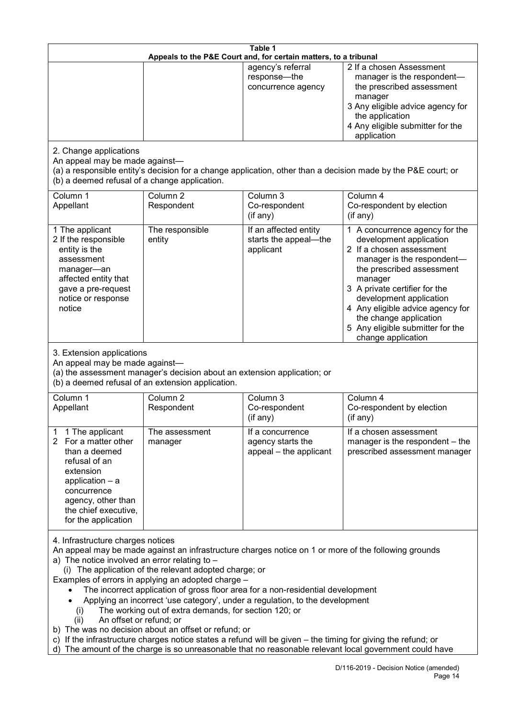| Table 1                                                                                                                                                                                                                                                                                                                                                                                                                                                                                                                                                                                                                                                                                                                                                                                                                                                            |                                   |                                                                 |                                                                                                                                                                                                                                                                                                                                                 |  |  |  |
|--------------------------------------------------------------------------------------------------------------------------------------------------------------------------------------------------------------------------------------------------------------------------------------------------------------------------------------------------------------------------------------------------------------------------------------------------------------------------------------------------------------------------------------------------------------------------------------------------------------------------------------------------------------------------------------------------------------------------------------------------------------------------------------------------------------------------------------------------------------------|-----------------------------------|-----------------------------------------------------------------|-------------------------------------------------------------------------------------------------------------------------------------------------------------------------------------------------------------------------------------------------------------------------------------------------------------------------------------------------|--|--|--|
| Appeals to the P&E Court and, for certain matters, to a tribunal                                                                                                                                                                                                                                                                                                                                                                                                                                                                                                                                                                                                                                                                                                                                                                                                   |                                   |                                                                 |                                                                                                                                                                                                                                                                                                                                                 |  |  |  |
|                                                                                                                                                                                                                                                                                                                                                                                                                                                                                                                                                                                                                                                                                                                                                                                                                                                                    |                                   | agency's referral<br>response-the<br>concurrence agency         | 2 If a chosen Assessment<br>manager is the respondent-<br>the prescribed assessment<br>manager<br>3 Any eligible advice agency for<br>the application<br>4 Any eligible submitter for the<br>application                                                                                                                                        |  |  |  |
| 2. Change applications<br>An appeal may be made against-<br>(a) a responsible entity's decision for a change application, other than a decision made by the P&E court; or<br>(b) a deemed refusal of a change application.                                                                                                                                                                                                                                                                                                                                                                                                                                                                                                                                                                                                                                         |                                   |                                                                 |                                                                                                                                                                                                                                                                                                                                                 |  |  |  |
| Column 1<br>Appellant                                                                                                                                                                                                                                                                                                                                                                                                                                                                                                                                                                                                                                                                                                                                                                                                                                              | Column 2<br>Respondent            | Column 3<br>Co-respondent<br>(if any)                           | Column 4<br>Co-respondent by election<br>(if any)                                                                                                                                                                                                                                                                                               |  |  |  |
| 1 The applicant<br>2 If the responsible<br>entity is the<br>assessment<br>manager-an<br>affected entity that<br>gave a pre-request<br>notice or response<br>notice                                                                                                                                                                                                                                                                                                                                                                                                                                                                                                                                                                                                                                                                                                 | The responsible<br>entity         | If an affected entity<br>starts the appeal-the<br>applicant     | 1 A concurrence agency for the<br>development application<br>2 If a chosen assessment<br>manager is the respondent-<br>the prescribed assessment<br>manager<br>3 A private certifier for the<br>development application<br>4 Any eligible advice agency for<br>the change application<br>5 Any eligible submitter for the<br>change application |  |  |  |
| 3. Extension applications<br>An appeal may be made against-<br>(a) the assessment manager's decision about an extension application; or<br>(b) a deemed refusal of an extension application.                                                                                                                                                                                                                                                                                                                                                                                                                                                                                                                                                                                                                                                                       |                                   |                                                                 |                                                                                                                                                                                                                                                                                                                                                 |  |  |  |
| Column 1<br>Appellant                                                                                                                                                                                                                                                                                                                                                                                                                                                                                                                                                                                                                                                                                                                                                                                                                                              | Column <sub>2</sub><br>Respondent | Column 3<br>Co-respondent<br>(if any)                           | Column 4<br>Co-respondent by election<br>(if any)                                                                                                                                                                                                                                                                                               |  |  |  |
| 1 The applicant<br>$\mathbf 1$<br>For a matter other<br>2<br>than a deemed<br>refusal of an<br>extension<br>application - a<br>concurrence<br>agency, other than<br>the chief executive,<br>for the application                                                                                                                                                                                                                                                                                                                                                                                                                                                                                                                                                                                                                                                    | The assessment<br>manager         | If a concurrence<br>agency starts the<br>appeal - the applicant | If a chosen assessment<br>manager is the respondent - the<br>prescribed assessment manager                                                                                                                                                                                                                                                      |  |  |  |
| 4. Infrastructure charges notices<br>An appeal may be made against an infrastructure charges notice on 1 or more of the following grounds<br>a) The notice involved an error relating to -<br>(i) The application of the relevant adopted charge; or<br>Examples of errors in applying an adopted charge -<br>The incorrect application of gross floor area for a non-residential development<br>Applying an incorrect 'use category', under a regulation, to the development<br>The working out of extra demands, for section 120; or<br>(i)<br>An offset or refund; or<br>(ii)<br>b) The was no decision about an offset or refund; or<br>c) If the infrastructure charges notice states a refund will be given – the timing for giving the refund; or<br>d) The amount of the charge is so unreasonable that no reasonable relevant local government could have |                                   |                                                                 |                                                                                                                                                                                                                                                                                                                                                 |  |  |  |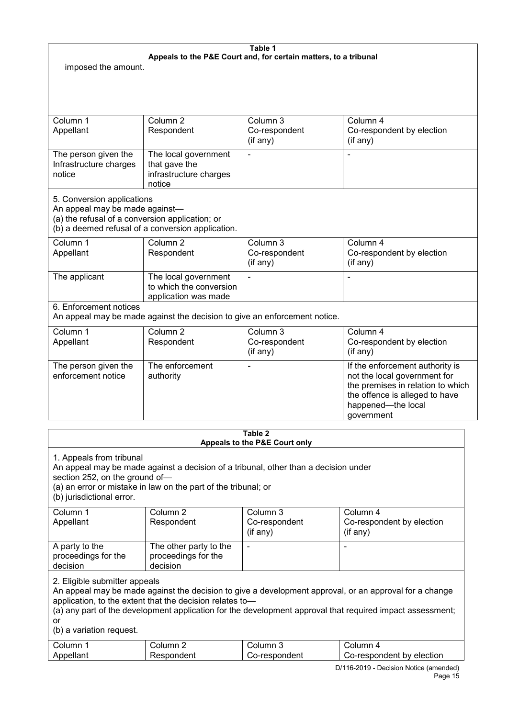| Table 1<br>Appeals to the P&E Court and, for certain matters, to a tribunal                                                                                                                                                                                                                                            |                                                                           |                                             |                                                                                                                                                                            |  |  |  |
|------------------------------------------------------------------------------------------------------------------------------------------------------------------------------------------------------------------------------------------------------------------------------------------------------------------------|---------------------------------------------------------------------------|---------------------------------------------|----------------------------------------------------------------------------------------------------------------------------------------------------------------------------|--|--|--|
| imposed the amount.                                                                                                                                                                                                                                                                                                    |                                                                           |                                             |                                                                                                                                                                            |  |  |  |
|                                                                                                                                                                                                                                                                                                                        |                                                                           |                                             |                                                                                                                                                                            |  |  |  |
| Column 1<br>Appellant                                                                                                                                                                                                                                                                                                  | Column <sub>2</sub><br>Respondent                                         | Column 3<br>Co-respondent<br>(if any)       | Column 4<br>Co-respondent by election<br>(if any)                                                                                                                          |  |  |  |
| The person given the<br>Infrastructure charges<br>notice                                                                                                                                                                                                                                                               | The local government<br>that gave the<br>infrastructure charges<br>notice |                                             |                                                                                                                                                                            |  |  |  |
| 5. Conversion applications<br>An appeal may be made against-<br>(a) the refusal of a conversion application; or<br>(b) a deemed refusal of a conversion application.<br>Column <sub>2</sub><br>Column 3<br>Column 1<br>Column 4<br>Co-respondent<br>Respondent<br>Co-respondent by election<br>Appellant               |                                                                           |                                             |                                                                                                                                                                            |  |  |  |
| The applicant                                                                                                                                                                                                                                                                                                          | The local government<br>to which the conversion<br>application was made   | (if any)                                    | (if any)<br>L,                                                                                                                                                             |  |  |  |
| 6. Enforcement notices<br>An appeal may be made against the decision to give an enforcement notice.                                                                                                                                                                                                                    |                                                                           |                                             |                                                                                                                                                                            |  |  |  |
| Column 1<br>Appellant                                                                                                                                                                                                                                                                                                  | Column <sub>2</sub><br>Respondent                                         | Column 3<br>Co-respondent<br>(if any)       | Column 4<br>Co-respondent by election<br>(if any)                                                                                                                          |  |  |  |
| The person given the<br>enforcement notice                                                                                                                                                                                                                                                                             | The enforcement<br>authority                                              |                                             | If the enforcement authority is<br>not the local government for<br>the premises in relation to which<br>the offence is alleged to have<br>happened-the local<br>government |  |  |  |
| Table 2<br>Appeals to the P&E Court only                                                                                                                                                                                                                                                                               |                                                                           |                                             |                                                                                                                                                                            |  |  |  |
| 1. Appeals from tribunal<br>An appeal may be made against a decision of a tribunal, other than a decision under<br>section 252, on the ground of-<br>(a) an error or mistake in law on the part of the tribunal; or<br>(b) jurisdictional error.                                                                       |                                                                           |                                             |                                                                                                                                                                            |  |  |  |
| Column 1<br>Appellant                                                                                                                                                                                                                                                                                                  | Column <sub>2</sub><br>Respondent                                         | Column 3<br>Co-respondent<br>$($ if any $)$ | Column 4<br>Co-respondent by election<br>(if any)                                                                                                                          |  |  |  |
| A party to the<br>proceedings for the<br>decision                                                                                                                                                                                                                                                                      | The other party to the<br>proceedings for the<br>decision                 | $\blacksquare$                              | $\blacksquare$                                                                                                                                                             |  |  |  |
| 2. Eligible submitter appeals<br>An appeal may be made against the decision to give a development approval, or an approval for a change<br>application, to the extent that the decision relates to-<br>(a) any part of the development application for the development approval that required impact assessment;<br>or |                                                                           |                                             |                                                                                                                                                                            |  |  |  |

(b) a variation request.

| ∴ol⊔mr    | olumn            | ∶∩lıımn                      | olumn                          |
|-----------|------------------|------------------------------|--------------------------------|
| Annallant | 'uer،<br>∵-لان ک | :nondent<br>- --<br>. ، ~~ 1 | election<br>hv<br>o-respondent |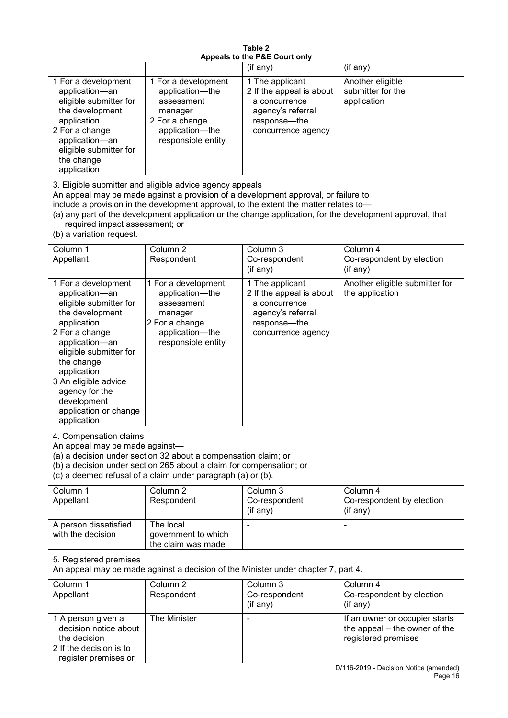| Table 2<br>Appeals to the P&E Court only                                                                                                                                                                                                                                                                                                                                                                           |                                                                                                                            |                                                                                                                         |                                                                                                                                  |  |  |
|--------------------------------------------------------------------------------------------------------------------------------------------------------------------------------------------------------------------------------------------------------------------------------------------------------------------------------------------------------------------------------------------------------------------|----------------------------------------------------------------------------------------------------------------------------|-------------------------------------------------------------------------------------------------------------------------|----------------------------------------------------------------------------------------------------------------------------------|--|--|
|                                                                                                                                                                                                                                                                                                                                                                                                                    |                                                                                                                            | (if any)                                                                                                                | (if any)                                                                                                                         |  |  |
| 1 For a development<br>application-an<br>eligible submitter for<br>the development<br>application<br>2 For a change<br>application-an<br>eligible submitter for<br>the change<br>application                                                                                                                                                                                                                       | 1 For a development<br>application-the<br>assessment<br>manager<br>2 For a change<br>application-the<br>responsible entity | 1 The applicant<br>2 If the appeal is about<br>a concurrence<br>agency's referral<br>response-the<br>concurrence agency | Another eligible<br>submitter for the<br>application                                                                             |  |  |
| 3. Eligible submitter and eligible advice agency appeals<br>An appeal may be made against a provision of a development approval, or failure to<br>include a provision in the development approval, to the extent the matter relates to-<br>(a) any part of the development application or the change application, for the development approval, that<br>required impact assessment; or<br>(b) a variation request. |                                                                                                                            |                                                                                                                         |                                                                                                                                  |  |  |
| Column 1<br>Appellant                                                                                                                                                                                                                                                                                                                                                                                              | Column <sub>2</sub><br>Respondent                                                                                          | Column 3<br>Co-respondent<br>(if any)                                                                                   | Column 4<br>Co-respondent by election<br>(if any)                                                                                |  |  |
| 1 For a development<br>application-an<br>eligible submitter for<br>the development<br>application<br>2 For a change<br>application-an<br>eligible submitter for<br>the change<br>application<br>3 An eligible advice<br>agency for the<br>development<br>application or change<br>application                                                                                                                      | 1 For a development<br>application-the<br>assessment<br>manager<br>2 For a change<br>application-the<br>responsible entity | 1 The applicant<br>2 If the appeal is about<br>a concurrence<br>agency's referral<br>response-the<br>concurrence agency | Another eligible submitter for<br>the application                                                                                |  |  |
| 4. Compensation claims<br>An appeal may be made against-<br>(a) a decision under section 32 about a compensation claim; or<br>(b) a decision under section 265 about a claim for compensation; or<br>(c) a deemed refusal of a claim under paragraph (a) or (b).                                                                                                                                                   |                                                                                                                            |                                                                                                                         |                                                                                                                                  |  |  |
| Column 1<br>Appellant                                                                                                                                                                                                                                                                                                                                                                                              | Column <sub>2</sub><br>Respondent                                                                                          | Column 3<br>Co-respondent<br>(if any)                                                                                   | Column 4<br>Co-respondent by election<br>(if any)                                                                                |  |  |
| A person dissatisfied<br>with the decision                                                                                                                                                                                                                                                                                                                                                                         | The local<br>government to which<br>the claim was made                                                                     |                                                                                                                         |                                                                                                                                  |  |  |
| 5. Registered premises<br>An appeal may be made against a decision of the Minister under chapter 7, part 4.                                                                                                                                                                                                                                                                                                        |                                                                                                                            |                                                                                                                         |                                                                                                                                  |  |  |
| Column 1<br>Appellant                                                                                                                                                                                                                                                                                                                                                                                              | Column <sub>2</sub><br>Respondent                                                                                          | Column 3<br>Co-respondent<br>(if any)                                                                                   | Column 4<br>Co-respondent by election<br>(if any)                                                                                |  |  |
| 1 A person given a<br>decision notice about<br>the decision<br>2 If the decision is to<br>register premises or                                                                                                                                                                                                                                                                                                     | The Minister                                                                                                               |                                                                                                                         | If an owner or occupier starts<br>the appeal – the owner of the<br>registered premises<br>D/116-2019 - Decision Notice (amended) |  |  |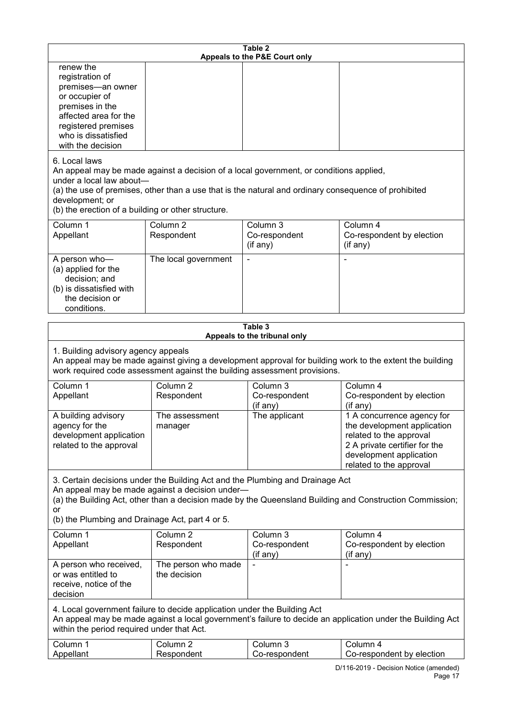| Table 2<br>Appeals to the P&E Court only                                                                                                                                                                                                                                                                             |                                     |                                       |                                                                                                                                                                             |  |  |
|----------------------------------------------------------------------------------------------------------------------------------------------------------------------------------------------------------------------------------------------------------------------------------------------------------------------|-------------------------------------|---------------------------------------|-----------------------------------------------------------------------------------------------------------------------------------------------------------------------------|--|--|
| renew the<br>registration of<br>premises-an owner<br>or occupier of<br>premises in the<br>affected area for the<br>registered premises<br>who is dissatisfied<br>with the decision                                                                                                                                   |                                     |                                       |                                                                                                                                                                             |  |  |
| 6. Local laws<br>An appeal may be made against a decision of a local government, or conditions applied,<br>under a local law about-<br>(a) the use of premises, other than a use that is the natural and ordinary consequence of prohibited<br>development; or<br>(b) the erection of a building or other structure. |                                     |                                       |                                                                                                                                                                             |  |  |
| Column 1<br>Appellant                                                                                                                                                                                                                                                                                                | Column <sub>2</sub><br>Respondent   | Column 3<br>Co-respondent<br>(if any) | Column 4<br>Co-respondent by election<br>(if any)                                                                                                                           |  |  |
| A person who-<br>(a) applied for the<br>decision; and<br>(b) is dissatisfied with<br>the decision or<br>conditions.                                                                                                                                                                                                  | The local government                |                                       |                                                                                                                                                                             |  |  |
| Table 3                                                                                                                                                                                                                                                                                                              |                                     |                                       |                                                                                                                                                                             |  |  |
| Appeals to the tribunal only<br>1. Building advisory agency appeals<br>An appeal may be made against giving a development approval for building work to the extent the building<br>work required code assessment against the building assessment provisions.                                                         |                                     |                                       |                                                                                                                                                                             |  |  |
| Column 1<br>Appellant                                                                                                                                                                                                                                                                                                | Column <sub>2</sub><br>Respondent   | Column 3<br>Co-respondent<br>(if any) | Column 4<br>Co-respondent by election<br>(if any)                                                                                                                           |  |  |
| A building advisory<br>agency for the<br>development application<br>related to the approval                                                                                                                                                                                                                          | The assessment<br>manager           | The applicant                         | 1 A concurrence agency for<br>the development application<br>related to the approval<br>2 A private certifier for the<br>development application<br>related to the approval |  |  |
| 3. Certain decisions under the Building Act and the Plumbing and Drainage Act<br>An appeal may be made against a decision under-<br>(a) the Building Act, other than a decision made by the Queensland Building and Construction Commission;<br>or<br>(b) the Plumbing and Drainage Act, part 4 or 5.                |                                     |                                       |                                                                                                                                                                             |  |  |
| Column 1<br>Appellant                                                                                                                                                                                                                                                                                                | Column <sub>2</sub><br>Respondent   | Column 3<br>Co-respondent<br>(if any) | Column 4<br>Co-respondent by election<br>(if any)                                                                                                                           |  |  |
| A person who received,<br>or was entitled to<br>receive, notice of the<br>decision                                                                                                                                                                                                                                   | The person who made<br>the decision |                                       |                                                                                                                                                                             |  |  |
| 4. Local government failure to decide application under the Building Act<br>within the period required under that Act.                                                                                                                                                                                               |                                     |                                       | An appeal may be made against a local government's failure to decide an application under the Building Act                                                                  |  |  |
| Column 1<br>Appellant                                                                                                                                                                                                                                                                                                | Column <sub>2</sub><br>Respondent   | Column 3<br>Co-respondent             | Column 4<br>Co-respondent by election<br>D/116-2019 - Decision Notice (amended)                                                                                             |  |  |